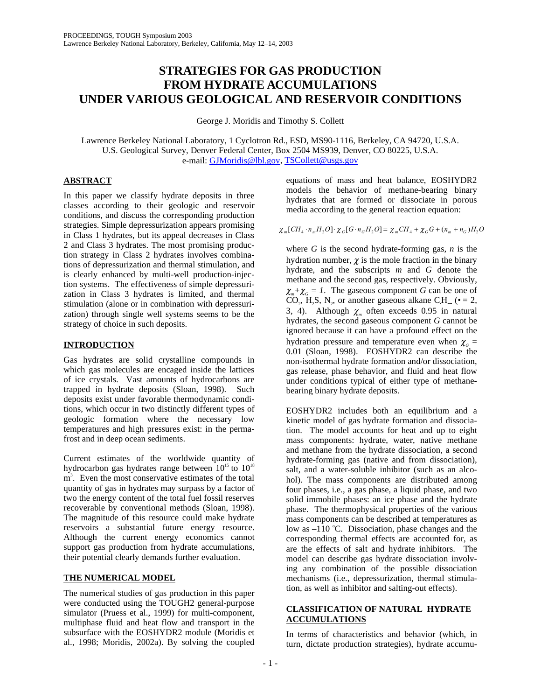# **STRATEGIES FOR GAS PRODUCTION FROM HYDRATE ACCUMULATIONS UNDER VARIOUS GEOLOGICAL AND RESERVOIR CONDITIONS**

George J. Moridis and Timothy S. Collett

Lawrence Berkeley National Laboratory, 1 Cyclotron Rd., ESD, MS90-1116, Berkeley, CA 94720, U.S.A. U.S. Geological Survey, Denver Federal Center, Box 2504 MS939, Denver, CO 80225, U.S.A. e-mail: GJMoridis@lbl.gov, TSCollett@usgs.gov

# **ABSTRACT**

In this paper we classify hydrate deposits in three classes according to their geologic and reservoir conditions, and discuss the corresponding production strategies. Simple depressurization appears promising in Class 1 hydrates, but its appeal decreases in Class 2 and Class 3 hydrates. The most promising production strategy in Class 2 hydrates involves combinations of depressurization and thermal stimulation, and is clearly enhanced by multi-well production-injection systems. The effectiveness of simple depressurization in Class 3 hydrates is limited, and thermal stimulation (alone or in combination with depressurization) through single well systems seems to be the strategy of choice in such deposits.

# **INTRODUCTION**

Gas hydrates are solid crystalline compounds in which gas molecules are encaged inside the lattices of ice crystals. Vast amounts of hydrocarbons are trapped in hydrate deposits (Sloan, 1998). Such deposits exist under favorable thermodynamic conditions, which occur in two distinctly different types of geologic formation where the necessary low temperatures and high pressures exist: in the permafrost and in deep ocean sediments.

Current estimates of the worldwide quantity of hydrocarbon gas hydrates range between  $10^{15}$  to  $10^{18}$ m<sup>3</sup>. Even the most conservative estimates of the total quantity of gas in hydrates may surpass by a factor of two the energy content of the total fuel fossil reserves recoverable by conventional methods (Sloan, 1998). The magnitude of this resource could make hydrate reservoirs a substantial future energy resource. Although the current energy economics cannot support gas production from hydrate accumulations, their potential clearly demands further evaluation.

# **THE NUMERICAL MODEL**

The numerical studies of gas production in this paper were conducted using the TOUGH2 general-purpose simulator (Pruess et al., 1999) for multi-component, multiphase fluid and heat flow and transport in the subsurface with the EOSHYDR2 module (Moridis et al., 1998; Moridis, 2002a). By solving the coupled

equations of mass and heat balance, EOSHYDR2 models the behavior of methane-bearing binary hydrates that are formed or dissociate in porous media according to the general reaction equation:

 $\chi_m[CH_4 \cdot n_m H_2O] \cdot \chi_G[G \cdot n_G H_2O] = \chi_m CH_4 + \chi_G G + (n_m + n_G)H_2O$ 

where *G* is the second hydrate-forming gas, *n* is the hydration number,  $\chi$  is the mole fraction in the binary hydrate, and the subscripts *m* and *G* denote the methane and the second gas, respectively. Obviously,  $\chi_m + \chi_G = 1$ . The gaseous component *G* can be one of CO<sub>2</sub>, H<sub>2</sub>S, N<sub>2</sub>, or another gaseous alkane C<sub>H</sub><sub>m</sub> ( $\bullet$  = 2, 3, 4). Although  $\chi$ <sub>*m*</sub> often exceeds 0.95 in natural hydrates, the second gaseous component *G* cannot be ignored because it can have a profound effect on the hydration pressure and temperature even when  $\chi_G$  = 0.01 (Sloan, 1998). EOSHYDR2 can describe the non-isothermal hydrate formation and/or dissociation, gas release, phase behavior, and fluid and heat flow under conditions typical of either type of methanebearing binary hydrate deposits.

EOSHYDR2 includes both an equilibrium and a kinetic model of gas hydrate formation and dissociation. The model accounts for heat and up to eight mass components: hydrate, water, native methane and methane from the hydrate dissociation, a second hydrate-forming gas (native and from dissociation), salt, and a water-soluble inhibitor (such as an alcohol). The mass components are distributed among four phases, i.e., a gas phase, a liquid phase, and two solid immobile phases: an ice phase and the hydrate phase. The thermophysical properties of the various mass components can be described at temperatures as low as  $-110$  °C. Dissociation, phase changes and the corresponding thermal effects are accounted for, as are the effects of salt and hydrate inhibitors. The model can describe gas hydrate dissociation involving any combination of the possible dissociation mechanisms (i.e., depressurization, thermal stimulation, as well as inhibitor and salting-out effects).

# **CLASSIFICATION OF NATURAL HYDRATE ACCUMULATIONS**

In terms of characteristics and behavior (which, in turn, dictate production strategies), hydrate accumu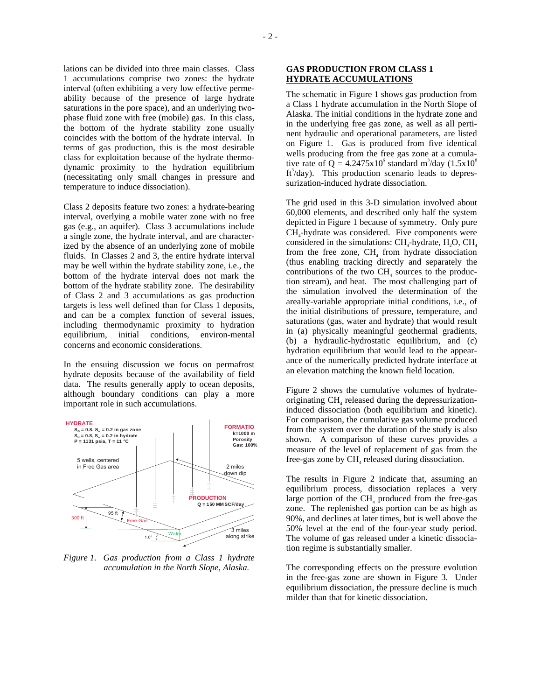lations can be divided into three main classes. Class 1 accumulations comprise two zones: the hydrate interval (often exhibiting a very low effective permeability because of the presence of large hydrate saturations in the pore space), and an underlying twophase fluid zone with free (mobile) gas. In this class, the bottom of the hydrate stability zone usually coincides with the bottom of the hydrate interval. In terms of gas production, this is the most desirable class for exploitation because of the hydrate thermodynamic proximity to the hydration equilibrium (necessitating only small changes in pressure and temperature to induce dissociation).

Class 2 deposits feature two zones: a hydrate-bearing interval, overlying a mobile water zone with no free gas (e.g., an aquifer). Class 3 accumulations include a single zone, the hydrate interval, and are characterized by the absence of an underlying zone of mobile fluids. In Classes 2 and 3, the entire hydrate interval may be well within the hydrate stability zone, i.e., the bottom of the hydrate interval does not mark the bottom of the hydrate stability zone. The desirability of Class 2 and 3 accumulations as gas production targets is less well defined than for Class 1 deposits, and can be a complex function of several issues, including thermodynamic proximity to hydration equilibrium, initial conditions, environ-mental concerns and economic considerations.

In the ensuing discussion we focus on permafrost hydrate deposits because of the availability of field data. The results generally apply to ocean deposits, although boundary conditions can play a more important role in such accumulations.



*Figure 1. Gas production from a Class 1 hydrate accumulation in the North Slope, Alaska.* 

## **GAS PRODUCTION FROM CLASS 1 HYDRATE ACCUMULATIONS**

The schematic in Figure 1 shows gas production from a Class 1 hydrate accumulation in the North Slope of Alaska. The initial conditions in the hydrate zone and in the underlying free gas zone, as well as all pertinent hydraulic and operational parameters, are listed on Figure 1. Gas is produced from five identical wells producing from the free gas zone at a cumulative rate of  $Q = 4.2475 \times 10^6$  standard m<sup>3</sup>/day (1.5 $\times$ 10<sup>8</sup>) ft<sup>3</sup>/day). This production scenario leads to depressurization-induced hydrate dissociation.

The grid used in this 3-D simulation involved about 60,000 elements, and described only half the system depicted in Figure 1 because of symmetry. Only pure CH4-hydrate was considered. Five components were considered in the simulations:  $CH<sub>a</sub>$ -hydrate,  $H<sub>2</sub>O$ ,  $CH<sub>4</sub>$ from the free zone,  $CH<sub>4</sub>$  from hydrate dissociation (thus enabling tracking directly and separately the contributions of the two  $CH<sub>4</sub>$  sources to the production stream), and heat. The most challenging part of the simulation involved the determination of the areally-variable appropriate initial conditions, i.e., of the initial distributions of pressure, temperature, and saturations (gas, water and hydrate) that would result in (a) physically meaningful geothermal gradients, (b) a hydraulic-hydrostatic equilibrium, and (c) hydration equilibrium that would lead to the appearance of the numerically predicted hydrate interface at an elevation matching the known field location.

Figure 2 shows the cumulative volumes of hydrateoriginating CH<sub>4</sub> released during the depressurizationinduced dissociation (both equilibrium and kinetic). For comparison, the cumulative gas volume produced from the system over the duration of the study is also shown. A comparison of these curves provides a measure of the level of replacement of gas from the free-gas zone by CH<sub>4</sub> released during dissociation.

The results in Figure 2 indicate that, assuming an equilibrium process, dissociation replaces a very large portion of the  $CH<sub>4</sub>$  produced from the free-gas zone. The replenished gas portion can be as high as 90%, and declines at later times, but is well above the 50% level at the end of the four-year study period. The volume of gas released under a kinetic dissociation regime is substantially smaller.

The corresponding effects on the pressure evolution in the free-gas zone are shown in Figure 3. Under equilibrium dissociation, the pressure decline is much milder than that for kinetic dissociation.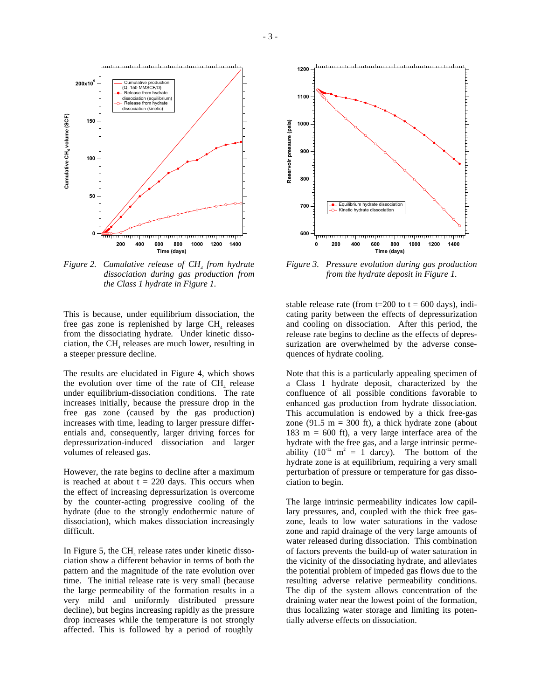

*Figure 2. Cumulative release of CH<sub>4</sub> from hydrate dissociation during gas production from the Class 1 hydrate in Figure 1.* 

This is because, under equilibrium dissociation, the free gas zone is replenished by large CH<sub>4</sub> releases from the dissociating hydrate. Under kinetic dissociation, the CH $_{4}$  releases are much lower, resulting in a steeper pressure decline.

The results are elucidated in Figure 4, which shows the evolution over time of the rate of  $CH<sub>4</sub>$  release under equilibrium-dissociation conditions. The rate increases initially, because the pressure drop in the free gas zone (caused by the gas production) increases with time, leading to larger pressure differentials and, consequently, larger driving forces for depressurization-induced dissociation and larger volumes of released gas.

However, the rate begins to decline after a maximum is reached at about  $t = 220$  days. This occurs when the effect of increasing depressurization is overcome by the counter-acting progressive cooling of the hydrate (due to the strongly endothermic nature of dissociation), which makes dissociation increasingly difficult.

In Figure 5, the CH<sub>4</sub> release rates under kinetic dissociation show a different behavior in terms of both the pattern and the magnitude of the rate evolution over time. The initial release rate is very small (because the large permeability of the formation results in a very mild and uniformly distributed pressure decline), but begins increasing rapidly as the pressure drop increases while the temperature is not strongly affected. This is followed by a period of roughly



*Figure 3. Pressure evolution during gas production from the hydrate deposit in Figure 1.* 

stable release rate (from t=200 to  $t = 600$  days), indicating parity between the effects of depressurization and cooling on dissociation. After this period, the release rate begins to decline as the effects of depressurization are overwhelmed by the adverse consequences of hydrate cooling.

Note that this is a particularly appealing specimen of a Class 1 hydrate deposit, characterized by the confluence of all possible conditions favorable to enhanced gas production from hydrate dissociation. This accumulation is endowed by a thick free-gas zone (91.5 m = 300 ft), a thick hydrate zone (about 183 m =  $600$  ft), a very large interface area of the hydrate with the free gas, and a large intrinsic permeability  $(10^{12} \text{ m}^2 = 1 \text{ darcy})$ . The bottom of the hydrate zone is at equilibrium, requiring a very small perturbation of pressure or temperature for gas dissociation to begin.

The large intrinsic permeability indicates low capillary pressures, and, coupled with the thick free gaszone, leads to low water saturations in the vadose zone and rapid drainage of the very large amounts of water released during dissociation. This combination of factors prevents the build-up of water saturation in the vicinity of the dissociating hydrate, and alleviates the potential problem of impeded gas flows due to the resulting adverse relative permeability conditions. The dip of the system allows concentration of the draining water near the lowest point of the formation, thus localizing water storage and limiting its potentially adverse effects on dissociation.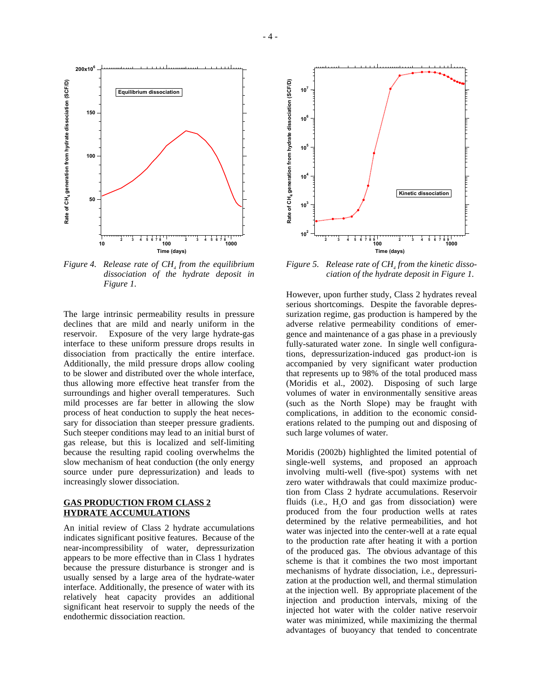

*Figure 4.* Release rate of CH<sub>4</sub> from the equilibrium *dissociation of the hydrate deposit in Figure 1.* 

The large intrinsic permeability results in pressure declines that are mild and nearly uniform in the reservoir. Exposure of the very large hydrate-gas interface to these uniform pressure drops results in dissociation from practically the entire interface. Additionally, the mild pressure drops allow cooling to be slower and distributed over the whole interface, thus allowing more effective heat transfer from the surroundings and higher overall temperatures. Such mild processes are far better in allowing the slow process of heat conduction to supply the heat necessary for dissociation than steeper pressure gradients. Such steeper conditions may lead to an initial burst of gas release, but this is localized and self-limiting because the resulting rapid cooling overwhelms the slow mechanism of heat conduction (the only energy source under pure depressurization) and leads to increasingly slower dissociation.

## **GAS PRODUCTION FROM CLASS 2 HYDRATE ACCUMULATIONS**

An initial review of Class 2 hydrate accumulations indicates significant positive features. Because of the near-incompressibility of water, depressurization appears to be more effective than in Class 1 hydrates because the pressure disturbance is stronger and is usually sensed by a large area of the hydrate-water interface. Additionally, the presence of water with its relatively heat capacity provides an additional significant heat reservoir to supply the needs of the endothermic dissociation reaction.



Figure 5. Release rate of CH<sub>4</sub> from the kinetic disso*ciation of the hydrate deposit in Figure 1.* 

However, upon further study, Class 2 hydrates reveal serious shortcomings. Despite the favorable depressurization regime, gas production is hampered by the adverse relative permeability conditions of emergence and maintenance of a gas phase in a previously fully-saturated water zone. In single well configurations, depressurization-induced gas product-ion is accompanied by very significant water production that represents up to 98% of the total produced mass (Moridis et al., 2002). Disposing of such large volumes of water in environmentally sensitive areas (such as the North Slope) may be fraught with complications, in addition to the economic considerations related to the pumping out and disposing of such large volumes of water.

Moridis (2002b) highlighted the limited potential of single-well systems, and proposed an approach involving multi-well (five-spot) systems with net zero water withdrawals that could maximize production from Class 2 hydrate accumulations. Reservoir fluids (i.e.,  $H<sub>2</sub>O$  and gas from dissociation) were produced from the four production wells at rates determined by the relative permeabilities, and hot water was injected into the center-well at a rate equal to the production rate after heating it with a portion of the produced gas. The obvious advantage of this scheme is that it combines the two most important mechanisms of hydrate dissociation, i.e., depressurization at the production well, and thermal stimulation at the injection well. By appropriate placement of the injection and production intervals, mixing of the injected hot water with the colder native reservoir water was minimized, while maximizing the thermal advantages of buoyancy that tended to concentrate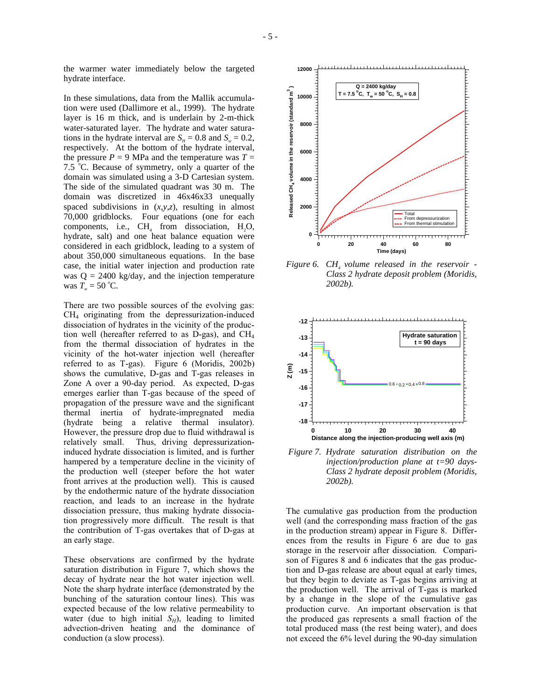the warmer water immediately below the targeted hydrate interface.

In these simulations, data from the Mallik accumulation were used (Dallimore et al., 1999). The hydrate layer is 16 m thick, and is underlain by 2-m-thick water-saturated layer. The hydrate and water saturations in the hydrate interval are  $S_{\mu} = 0.8$  and  $S_{\nu} = 0.2$ , respectively. At the bottom of the hydrate interval, the pressure  $P = 9$  MPa and the temperature was  $T =$ 7.5  $\degree$ C. Because of symmetry, only a quarter of the domain was simulated using a 3-D Cartesian system. The side of the simulated quadrant was 30 m. The domain was discretized in 46x46x33 unequally spaced subdivisions in (*x,y,z*), resulting in almost 70,000 gridblocks. Four equations (one for each components, i.e.,  $CH<sub>4</sub>$  from dissociation,  $H<sub>2</sub>O$ , hydrate, salt) and one heat balance equation were considered in each gridblock, leading to a system of about 350,000 simultaneous equations. In the base case, the initial water injection and production rate was  $Q = 2400$  kg/day, and the injection temperature was  $T_w = 50$  °C.

There are two possible sources of the evolving gas: CH4 originating from the depressurization-induced dissociation of hydrates in the vicinity of the production well (hereafter referred to as D-gas), and CH4 from the thermal dissociation of hydrates in the vicinity of the hot-water injection well (hereafter referred to as T-gas). Figure 6 (Moridis, 2002b) shows the cumulative, D-gas and T-gas releases in Zone A over a 90-day period. As expected, D-gas emerges earlier than T-gas because of the speed of propagation of the pressure wave and the significant thermal inertia of hydrate-impregnated media (hydrate being a relative thermal insulator). However, the pressure drop due to fluid withdrawal is relatively small. Thus, driving depressurizationinduced hydrate dissociation is limited, and is further hampered by a temperature decline in the vicinity of the production well (steeper before the hot water front arrives at the production well). This is caused by the endothermic nature of the hydrate dissociation reaction, and leads to an increase in the hydrate dissociation pressure, thus making hydrate dissociation progressively more difficult. The result is that the contribution of T-gas overtakes that of D-gas at an early stage.

These observations are confirmed by the hydrate saturation distribution in Figure 7, which shows the decay of hydrate near the hot water injection well. Note the sharp hydrate interface (demonstrated by the bunching of the saturation contour lines). This was expected because of the low relative permeability to water (due to high initial  $S_H$ ), leading to limited advection-driven heating and the dominance of conduction (a slow process).



*Figure 6. CH<sub>4</sub> volume released in the reservoir -Class 2 hydrate deposit problem (Moridis, 2002b).* 



 *Figure 7. Hydrate saturation distribution on the injection/production plane at t=90 days-Class 2 hydrate deposit problem (Moridis, 2002b).* 

The cumulative gas production from the production well (and the corresponding mass fraction of the gas in the production stream) appear in Figure 8. Differences from the results in Figure 6 are due to gas storage in the reservoir after dissociation. Comparison of Figures 8 and 6 indicates that the gas production and D-gas release are about equal at early times, but they begin to deviate as T-gas begins arriving at the production well. The arrival of T-gas is marked by a change in the slope of the cumulative gas production curve. An important observation is that the produced gas represents a small fraction of the total produced mass (the rest being water), and does not exceed the 6% level during the 90-day simulation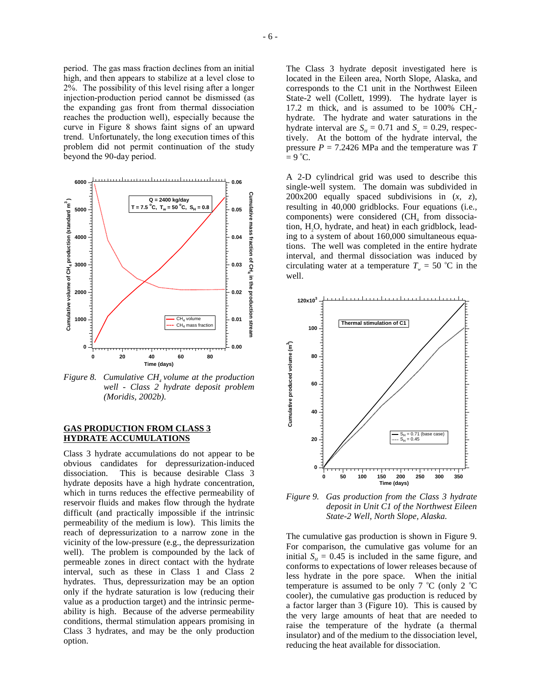period. The gas mass fraction declines from an initial high, and then appears to stabilize at a level close to 2%. The possibility of this level rising after a longer injection-production period cannot be dismissed (as the expanding gas front from thermal dissociation reaches the production well), especially because the curve in Figure 8 shows faint signs of an upward trend. Unfortunately, the long execution times of this problem did not permit continuation of the study beyond the 90-day period.



*Figure 8. Cumulative CH<sub>4</sub> volume at the production well - Class 2 hydrate deposit problem (Moridis, 2002b).* 

#### **GAS PRODUCTION FROM CLASS 3 HYDRATE ACCUMULATIONS**

Class 3 hydrate accumulations do not appear to be obvious candidates for depressurization-induced dissociation. This is because desirable Class 3 hydrate deposits have a high hydrate concentration, which in turns reduces the effective permeability of reservoir fluids and makes flow through the hydrate difficult (and practically impossible if the intrinsic permeability of the medium is low). This limits the reach of depressurization to a narrow zone in the vicinity of the low-pressure (e.g., the depressurization well). The problem is compounded by the lack of permeable zones in direct contact with the hydrate interval, such as these in Class 1 and Class 2 hydrates. Thus, depressurization may be an option only if the hydrate saturation is low (reducing their value as a production target) and the intrinsic permeability is high. Because of the adverse permeability conditions, thermal stimulation appears promising in Class 3 hydrates, and may be the only production option.

The Class 3 hydrate deposit investigated here is located in the Eileen area, North Slope, Alaska, and corresponds to the C1 unit in the Northwest Eileen State-2 well (Collett, 1999). The hydrate layer is 17.2 m thick, and is assumed to be 100%  $CH<sub>4</sub>$ hydrate. The hydrate and water saturations in the hydrate interval are  $S_n = 0.71$  and  $S_n = 0.29$ , respectively. At the bottom of the hydrate interval, the pressure  $P = 7.2426$  MPa and the temperature was  $T$  $= 9^{\circ}C.$ 

A 2-D cylindrical grid was used to describe this single-well system. The domain was subdivided in 200x200 equally spaced subdivisions in (*x*, *z*), resulting in 40,000 gridblocks. Four equations (i.e., components) were considered (CH<sub>4</sub> from dissociation, H2O, hydrate, and heat) in each gridblock, leading to a system of about 160,000 simultaneous equations. The well was completed in the entire hydrate interval, and thermal dissociation was induced by circulating water at a temperature  $T_w = 50$  °C in the well.



*Figure 9. Gas production from the Class 3 hydrate deposit in Unit C1 of the Northwest Eileen State-2 Well, North Slope, Alaska.* 

The cumulative gas production is shown in Figure 9. For comparison, the cumulative gas volume for an initial  $S_H = 0.45$  is included in the same figure, and conforms to expectations of lower releases because of less hydrate in the pore space. When the initial temperature is assumed to be only  $7 °C$  (only  $2 °C$ cooler), the cumulative gas production is reduced by a factor larger than 3 (Figure 10). This is caused by the very large amounts of heat that are needed to raise the temperature of the hydrate (a thermal insulator) and of the medium to the dissociation level, reducing the heat available for dissociation.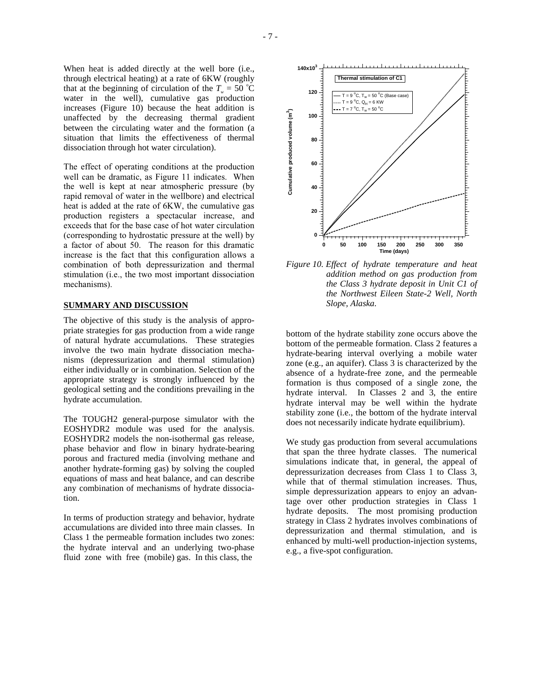When heat is added directly at the well bore (i.e., through electrical heating) at a rate of 6KW (roughly that at the beginning of circulation of the  $T_w = 50$  °C water in the well), cumulative gas production increases (Figure 10) because the heat addition is unaffected by the decreasing thermal gradient between the circulating water and the formation (a situation that limits the effectiveness of thermal dissociation through hot water circulation).

The effect of operating conditions at the production well can be dramatic, as Figure 11 indicates. When the well is kept at near atmospheric pressure (by rapid removal of water in the wellbore) and electrical heat is added at the rate of 6KW, the cumulative gas production registers a spectacular increase, and exceeds that for the base case of hot water circulation (corresponding to hydrostatic pressure at the well) by a factor of about 50. The reason for this dramatic increase is the fact that this configuration allows a combination of both depressurization and thermal stimulation (i.e., the two most important dissociation mechanisms).

## **SUMMARY AND DISCUSSION**

The objective of this study is the analysis of appropriate strategies for gas production from a wide range of natural hydrate accumulations. These strategies involve the two main hydrate dissociation mechanisms (depressurization and thermal stimulation) either individually or in combination. Selection of the appropriate strategy is strongly influenced by the geological setting and the conditions prevailing in the hydrate accumulation.

The TOUGH2 general-purpose simulator with the EOSHYDR2 module was used for the analysis. EOSHYDR2 models the non-isothermal gas release, phase behavior and flow in binary hydrate-bearing porous and fractured media (involving methane and another hydrate-forming gas) by solving the coupled equations of mass and heat balance, and can describe any combination of mechanisms of hydrate dissociation.

In terms of production strategy and behavior, hydrate accumulations are divided into three main classes. In Class 1 the permeable formation includes two zones: the hydrate interval and an underlying two-phase fluid zone with free (mobile) gas. In this class, the



*Figure 10. Effect of hydrate temperature and heat addition method on gas production from the Class 3 hydrate deposit in Unit C1 of the Northwest Eileen State-2 Well, North Slope, Alaska.* 

bottom of the hydrate stability zone occurs above the bottom of the permeable formation. Class 2 features a hydrate-bearing interval overlying a mobile water zone (e.g., an aquifer). Class 3 is characterized by the absence of a hydrate-free zone, and the permeable formation is thus composed of a single zone, the hydrate interval. In Classes 2 and 3, the entire hydrate interval may be well within the hydrate stability zone (i.e., the bottom of the hydrate interval does not necessarily indicate hydrate equilibrium).

We study gas production from several accumulations that span the three hydrate classes. The numerical simulations indicate that, in general, the appeal of depressurization decreases from Class 1 to Class 3, while that of thermal stimulation increases. Thus, simple depressurization appears to enjoy an advantage over other production strategies in Class 1 hydrate deposits. The most promising production strategy in Class 2 hydrates involves combinations of depressurization and thermal stimulation, and is enhanced by multi-well production-injection systems, e.g., a five-spot configuration.